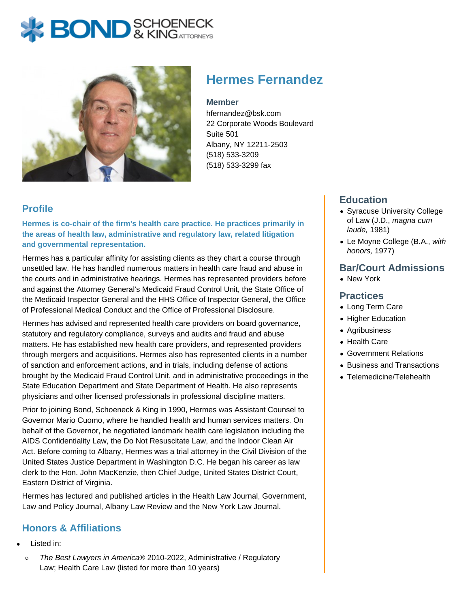# **X BOND** & KINGATTORNECK



## **Hermes Fernandez**

#### **Member**

hfernandez@bsk.com 22 Corporate Woods Boulevard Suite 501 Albany, NY 12211-2503 (518) 533-3209 (518) 533-3299 fax

#### **Profile**

**Hermes is co-chair of the firm's health care practice. He practices primarily in the areas of health law, administrative and regulatory law, related litigation and governmental representation.**

Hermes has a particular affinity for assisting clients as they chart a course through unsettled law. He has handled numerous matters in health care fraud and abuse in the courts and in administrative hearings. Hermes has represented providers before and against the Attorney General's Medicaid Fraud Control Unit, the State Office of the Medicaid Inspector General and the HHS Office of Inspector General, the Office of Professional Medical Conduct and the Office of Professional Disclosure.

Hermes has advised and represented health care providers on board governance, statutory and regulatory compliance, surveys and audits and fraud and abuse matters. He has established new health care providers, and represented providers through mergers and acquisitions. Hermes also has represented clients in a number of sanction and enforcement actions, and in trials, including defense of actions brought by the Medicaid Fraud Control Unit, and in administrative proceedings in the State Education Department and State Department of Health. He also represents physicians and other licensed professionals in professional discipline matters.

Prior to joining Bond, Schoeneck & King in 1990, Hermes was Assistant Counsel to Governor Mario Cuomo, where he handled health and human services matters. On behalf of the Governor, he negotiated landmark health care legislation including the AIDS Confidentiality Law, the Do Not Resuscitate Law, and the Indoor Clean Air Act. Before coming to Albany, Hermes was a trial attorney in the Civil Division of the United States Justice Department in Washington D.C. He began his career as law clerk to the Hon. John MacKenzie, then Chief Judge, United States District Court, Eastern District of Virginia.

Hermes has lectured and published articles in the Health Law Journal, Government, Law and Policy Journal, Albany Law Review and the New York Law Journal.

### **Honors & Affiliations**

- Listed in:
- $\circ$ The Best Lawyers in America® 2010-2022, Administrative / Regulatory Law; Health Care Law (listed for more than 10 years)

#### **Education**

- Syracuse University College of Law (J.D., magna cum laude, 1981)
- Le Moyne College (B.A., with honors, 1977)

#### **Bar/Court Admissions**

New York

#### **Practices**

- Long Term Care
- Higher Education
- Agribusiness
- Health Care
- Government Relations
- Business and Transactions
- Telemedicine/Telehealth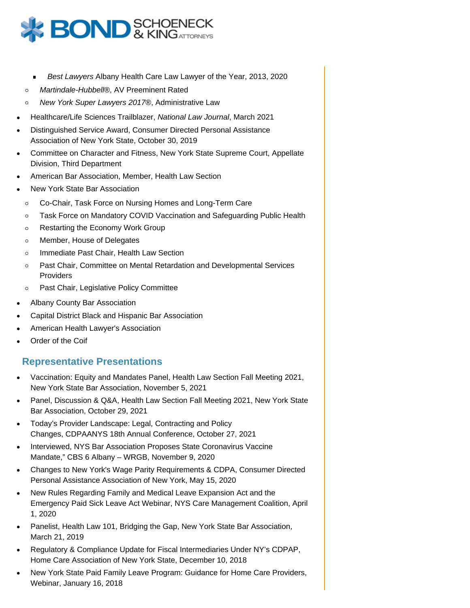

- Best Lawyers Albany Health Care Law Lawyer of the Year, 2013, 2020
- Martindale-Hubbell®, AV Preeminent Rated  $\circ$
- New York Super Lawyers 2017®, Administrative Law  $\circ$
- Healthcare/Life Sciences Trailblazer, National Law Journal, March 2021
- Distinguished Service Award, Consumer Directed Personal Assistance Association of New York State, October 30, 2019
- Committee on Character and Fitness, New York State Supreme Court, Appellate Division, Third Department
- American Bar Association, Member, Health Law Section
- New York State Bar Association
	- Co-Chair, Task Force on Nursing Homes and Long-Term Care  $\circ$
	- Task Force on Mandatory COVID Vaccination and Safeguarding Public Health  $\circ$
	- Restarting the Economy Work Group  $\circ$
	- Member, House of Delegates  $\circ$
	- Immediate Past Chair, Health Law Section  $\circ$
	- Past Chair, Committee on Mental Retardation and Developmental Services  $\circ$ **Providers**
	- Past Chair, Legislative Policy Committee  $\circ$
- Albany County Bar Association
- Capital District Black and Hispanic Bar Association
- American Health Lawyer's Association
- Order of the Coif

#### **Representative Presentations**

- Vaccination: Equity and Mandates Panel, Health Law Section Fall Meeting 2021, New York State Bar Association, November 5, 2021
- Panel, Discussion & Q&A, Health Law Section Fall Meeting 2021, New York State Bar Association, October 29, 2021
- Today's Provider Landscape: Legal, Contracting and Policy Changes, CDPAANYS 18th Annual Conference, October 27, 2021
- Interviewed, NYS Bar Association Proposes State Coronavirus Vaccine Mandate," CBS 6 Albany – WRGB, November 9, 2020
- Changes to New York's Wage Parity Requirements & CDPA, Consumer Directed Personal Assistance Association of New York, May 15, 2020
- New Rules Regarding Family and Medical Leave Expansion Act and the Emergency Paid Sick Leave Act Webinar, NYS Care Management Coalition, April 1, 2020
- Panelist, Health Law 101, Bridging the Gap, New York State Bar Association, March 21, 2019
- Regulatory & Compliance Update for Fiscal Intermediaries Under NY's CDPAP, Home Care Association of New York State, December 10, 2018
- New York State Paid Family Leave Program: Guidance for Home Care Providers, Webinar, January 16, 2018